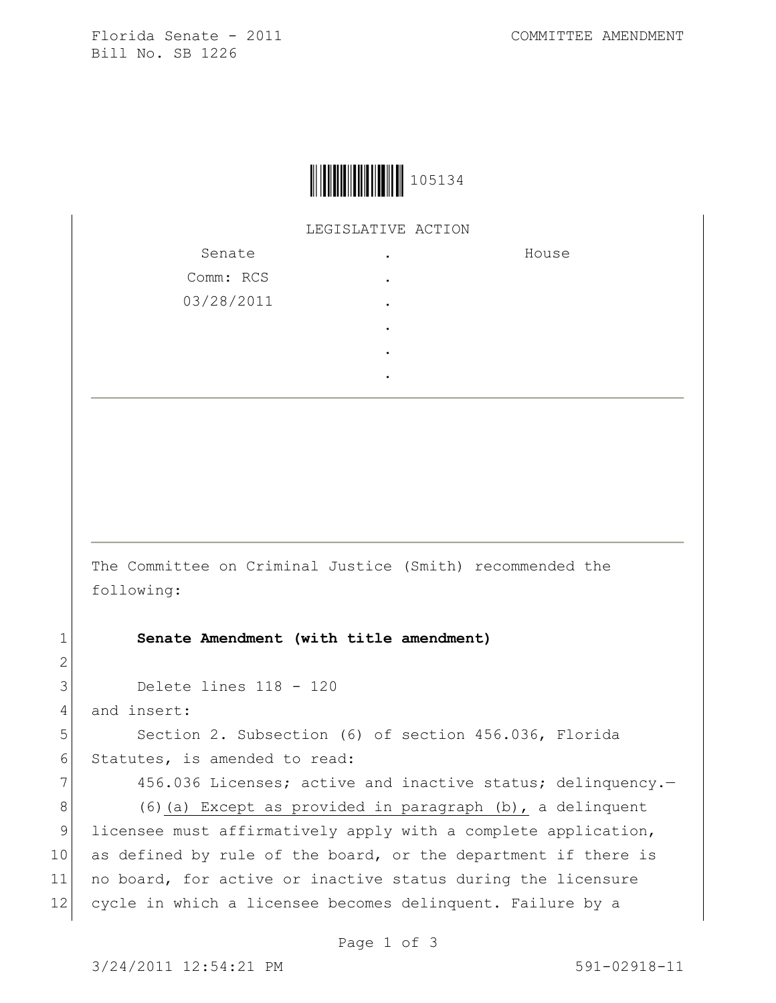Florida Senate - 2011 COMMITTEE AMENDMENT Bill No. SB 1226



LEGISLATIVE ACTION

| Senate     | ٠ | House |
|------------|---|-------|
| Comm: RCS  | ٠ |       |
| 03/28/2011 | ٠ |       |
|            | ٠ |       |
|            | ٠ |       |
|            |   |       |

The Committee on Criminal Justice (Smith) recommended the following:

1 **Senate Amendment (with title amendment)**

3 Delete lines 118 - 120

4 and insert:

5 Section 2. Subsection (6) of section 456.036, Florida 6 Statutes, is amended to read:

7 456.036 Licenses; active and inactive status; delinquency. 8 (6)(a) Except as provided in paragraph (b), a delinquent 9 licensee must affirmatively apply with a complete application, 10 as defined by rule of the board, or the department if there is 11 no board, for active or inactive status during the licensure 12 cycle in which a licensee becomes delinquent. Failure by a

Page 1 of 3

2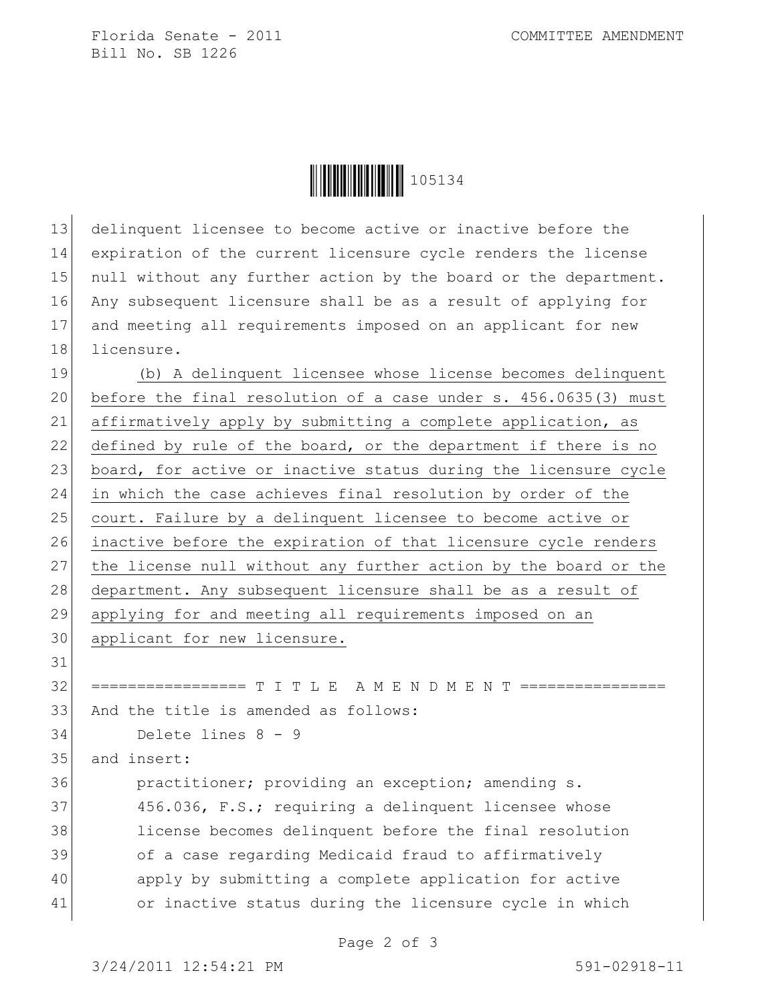Florida Senate - 2011 COMMITTEE AMENDMENT Bill No. SB 1226



 delinquent licensee to become active or inactive before the expiration of the current licensure cycle renders the license 15 null without any further action by the board or the department. Any subsequent licensure shall be as a result of applying for and meeting all requirements imposed on an applicant for new 18 licensure.

19 (b) A delinquent licensee whose license becomes delinquent 20 before the final resolution of a case under s. 456.0635(3) must 21 affirmatively apply by submitting a complete application, as 22 defined by rule of the board, or the department if there is no 23 board, for active or inactive status during the licensure cycle 24 in which the case achieves final resolution by order of the 25 court. Failure by a delinquent licensee to become active or 26 inactive before the expiration of that licensure cycle renders 27 the license null without any further action by the board or the 28 department. Any subsequent licensure shall be as a result of 29 applying for and meeting all requirements imposed on an 30 applicant for new licensure.

31

32 ================= T I T L E A M E N D M E N T ================ 33 And the title is amended as follows:

34 Delete lines 8 - 9

35 and insert:

 practitioner; providing an exception; amending s. 37 456.036, F.S.; requiring a delinquent licensee whose license becomes delinquent before the final resolution 39 of a case regarding Medicaid fraud to affirmatively apply by submitting a complete application for active or inactive status during the licensure cycle in which

Page 2 of 3